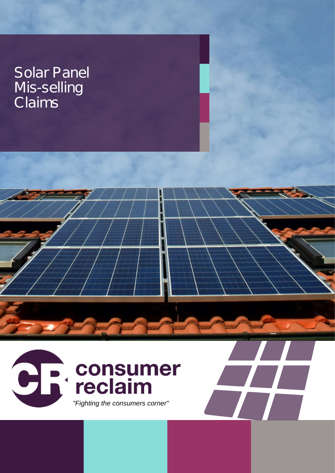#### Solar Panel Mis-selling **Claims**

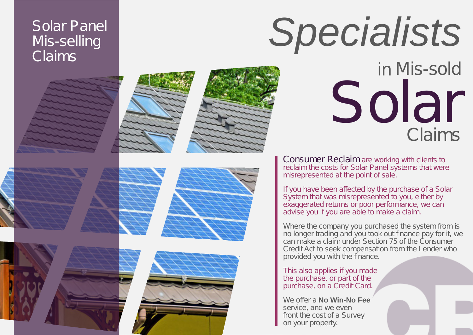#### Solar Panel Mis-selling **Claims**



Consumer Reclaim are working with clients to reclaim the costs for Solar Panel systems that were misrepresented at the point of sale.

If you have been affected by the purchase of a Solar System that was misrepresented to you, either by exaggerated returns or poor performance, we can advise you if you are able to make a claim.

Where the company you purchased the system from is no longer trading and you took out finance pay for it, we can make a claim under Section 75 of the Consumer Credit Act to seek compensation from the Lender who provided you with the f nance.

This also applies if you made the purchase, or part of the purchase, on a Credit Card.

We offer a **No Win-No Fee** service, and we even front the cost of a Survey on your property.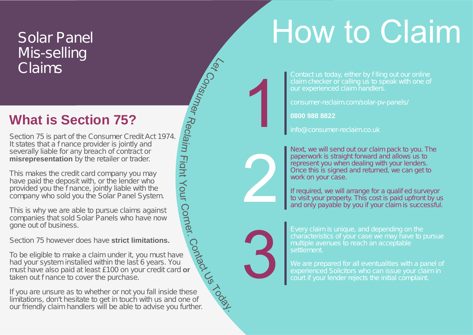# How to Claim

#### Solar Panel Mis-selling Claims

#### **What is Section 75?**

Section 75 is part of the Consumer Credit Act 1974. It states that a f nance provider is jointly and severally liable for any breach of contract or **misrepresentation** by the retailer or trader.

This makes the credit card company you may have paid the deposit with, or the lender who provided you the finance, jointly liable with the company who sold you the Solar Panel System.

This is why we are able to pursue claims against companies that sold Solar Panels who have now gone out of business.

Section 75 however does have **strict limitations.**

Contact Us To be eligible to make a claim under it, you must have had your system installed within the last 6 years. You must have also paid at least £100 on your credit card **or** taken out f nance to cover the purchase.

If you are unsure as to whether or not you fall inside these limitations, don't hesitate to get in touch with us and one of our friendly claim handlers will be able to advise you further.

Contact us today, either by filling out our online claim checker or calling us to speak with one of our experienced claim handlers.

consumer-reclaim.com/solar-pv-panels/

**0800 988 8822**

info@consumer-reclaim.co.uk

Next, we will send out our claim pack to you. The paperwork is straight forward and allows us to represent you when dealing with your lenders. Once this is signed and returned, we can get to work on your case.

If required, we will arrange for a qualified surveyor to visit your property. This cost is paid upfront by us and only payable by you if your claim is successful.



2

1

Let Consumer

Rec

 $\ddot{\mathbf{p}}$ iru

 $\overline{\mathsf{T}}$ g<sup>i</sup>  $\overline{\mathsf{h}}$  $\prec$ o  $\Xi$ 

Corner.

Every claim is unique, and depending on the characteristics of your case we may have to pursue multiple avenues to reach an acceptable settlement.

We are prepared for all eventualities with a panel of experienced Solicitors who can issue your claim in court if your lender rejects the initial complaint.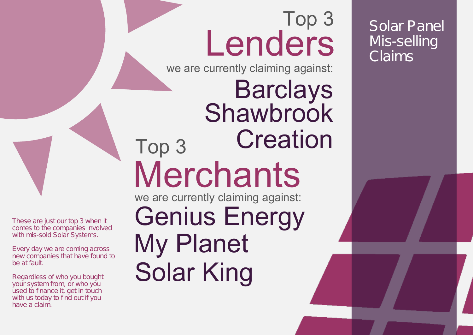## Top 3 Lenders

we are currently claiming against:

Top 3 we are currently claiming against: **Merchants** Barclays Genius Energy My Planet **Shawbrook Creation** 

Solar King

Solar Panel Mis-selling Claims

These are just our top 3 when it comes to the companies involved with mis-sold Solar Systems.

Every day we are coming across new companies that have found to be at fault.

Regardless of who you bought your system from, or who you used to f nance it, get in touch with us today to f nd out if you have a claim.